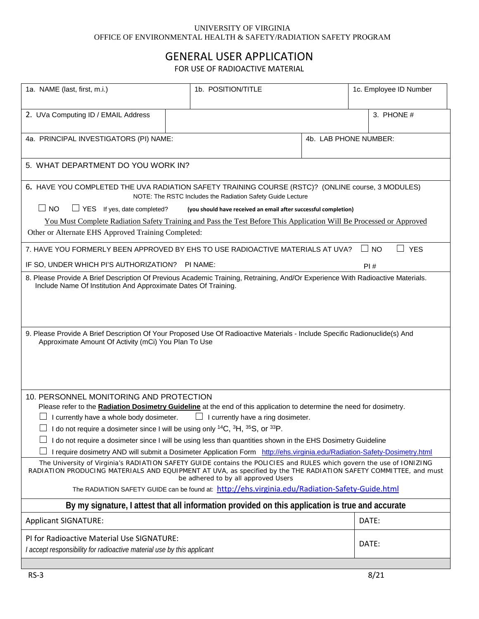## UNIVERSITY OF VIRGINIA OFFICE OF ENVIRONMENTAL HEALTH & SAFETY/RADIATION SAFETY PROGRAM

## GENERAL USER APPLICATION

FOR USE OF RADIOACTIVE MATERIAL

| 1a. NAME (last, first, m.i.)                                                                                                                                                                                                                                                    | 1b. POSITION/TITLE |                       | 1c. Employee ID Number     |  |
|---------------------------------------------------------------------------------------------------------------------------------------------------------------------------------------------------------------------------------------------------------------------------------|--------------------|-----------------------|----------------------------|--|
| 2. UVa Computing ID / EMAIL Address                                                                                                                                                                                                                                             |                    |                       | 3. PHONE #                 |  |
| 4a. PRINCIPAL INVESTIGATORS (PI) NAME:                                                                                                                                                                                                                                          |                    | 4b. LAB PHONE NUMBER: |                            |  |
| 5. WHAT DEPARTMENT DO YOU WORK IN?                                                                                                                                                                                                                                              |                    |                       |                            |  |
| 6. HAVE YOU COMPLETED THE UVA RADIATION SAFETY TRAINING COURSE (RSTC)? (ONLINE course, 3 MODULES)<br>NOTE: The RSTC Includes the Radiation Safety Guide Lecture                                                                                                                 |                    |                       |                            |  |
| $\Box$ NO<br>$\Box$ YES If yes, date completed?<br>(you should have received an email after successful completion)                                                                                                                                                              |                    |                       |                            |  |
| You Must Complete Radiation Safety Training and Pass the Test Before This Application Will Be Processed or Approved<br>Other or Alternate EHS Approved Training Completed:                                                                                                      |                    |                       |                            |  |
| 7. HAVE YOU FORMERLY BEEN APPROVED BY EHS TO USE RADIOACTIVE MATERIALS AT UVA?                                                                                                                                                                                                  |                    |                       | $\square$ YES<br>$\Box$ NO |  |
| IF SO, UNDER WHICH PI'S AUTHORIZATION? PI NAME:                                                                                                                                                                                                                                 |                    |                       | PI#                        |  |
| 8. Please Provide A Brief Description Of Previous Academic Training, Retraining, And/Or Experience With Radioactive Materials.<br>Include Name Of Institution And Approximate Dates Of Training.                                                                                |                    |                       |                            |  |
| 9. Please Provide A Brief Description Of Your Proposed Use Of Radioactive Materials - Include Specific Radionuclide(s) And<br>Approximate Amount Of Activity (mCi) You Plan To Use                                                                                              |                    |                       |                            |  |
| 10. PERSONNEL MONITORING AND PROTECTION<br>Please refer to the Radiation Dosimetry Guideline at the end of this application to determine the need for dosimetry.                                                                                                                |                    |                       |                            |  |
| $\Box$ I currently have a whole body dosimeter.<br>$\Box$ I currently have a ring dosimeter.                                                                                                                                                                                    |                    |                       |                            |  |
| $\Box$ I do not require a dosimeter since I will be using only <sup>14</sup> C, <sup>3</sup> H, <sup>35</sup> S, or <sup>33</sup> P                                                                                                                                             |                    |                       |                            |  |
| I do not require a dosimeter since I will be using less than quantities shown in the EHS Dosimetry Guideline                                                                                                                                                                    |                    |                       |                            |  |
| I require dosimetry AND will submit a Dosimeter Application Form http://ehs.virginia.edu/Radiation-Safety-Dosimetry.html                                                                                                                                                        |                    |                       |                            |  |
| The University of Virginia's RADIATION SAFETY GUIDE contains the POLICIES and RULES which govern the use of IONIZING<br>RADIATION PRODUCING MATERIALS AND EQUIPMENT AT UVA, as specified by the THE RADIATION SAFETY COMMITTEE, and must<br>be adhered to by all approved Users |                    |                       |                            |  |
| The RADIATION SAFETY GUIDE can be found at: http://ehs.virginia.edu/Radiation-Safety-Guide.html                                                                                                                                                                                 |                    |                       |                            |  |
| By my signature, I attest that all information provided on this application is true and accurate                                                                                                                                                                                |                    |                       |                            |  |
| <b>Applicant SIGNATURE:</b>                                                                                                                                                                                                                                                     |                    |                       | DATE:                      |  |
| PI for Radioactive Material Use SIGNATURE:<br>I accept responsibility for radioactive material use by this applicant                                                                                                                                                            |                    |                       | DATE:                      |  |